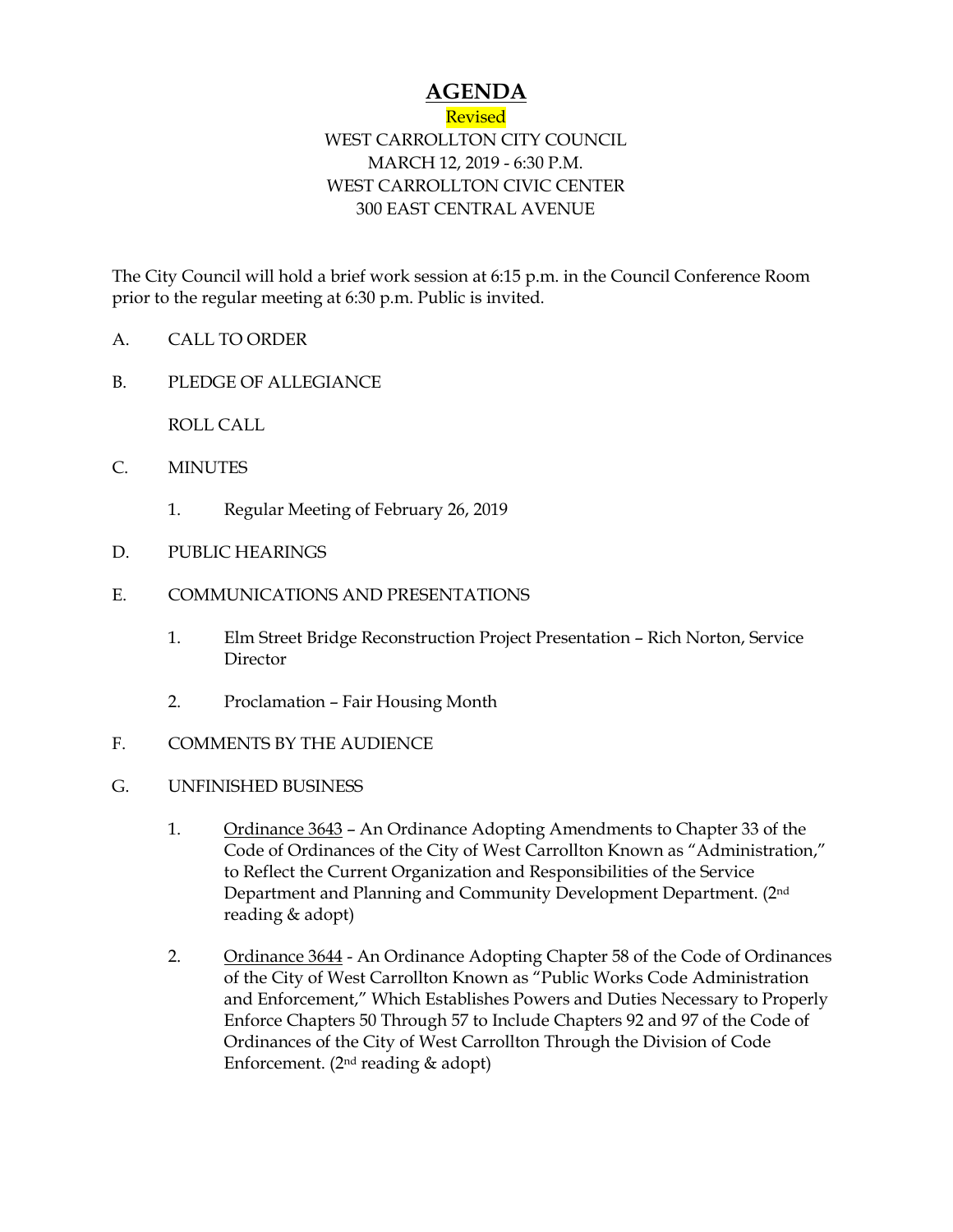## **AGENDA**

## Revised WEST CARROLLTON CITY COUNCIL MARCH 12, 2019 - 6:30 P.M. WEST CARROLLTON CIVIC CENTER 300 EAST CENTRAL AVENUE

The City Council will hold a brief work session at 6:15 p.m. in the Council Conference Room prior to the regular meeting at 6:30 p.m. Public is invited.

- A. CALL TO ORDER
- B. PLEDGE OF ALLEGIANCE

ROLL CALL

- C. MINUTES
	- 1. Regular Meeting of February 26, 2019
- D. PUBLIC HEARINGS
- E. COMMUNICATIONS AND PRESENTATIONS
	- 1. Elm Street Bridge Reconstruction Project Presentation Rich Norton, Service **Director**
	- 2. Proclamation Fair Housing Month
- F. COMMENTS BY THE AUDIENCE
- G. UNFINISHED BUSINESS
	- 1. Ordinance 3643 An Ordinance Adopting Amendments to Chapter 33 of the Code of Ordinances of the City of West Carrollton Known as "Administration," to Reflect the Current Organization and Responsibilities of the Service Department and Planning and Community Development Department. (2nd reading & adopt)
	- 2. Ordinance 3644 An Ordinance Adopting Chapter 58 of the Code of Ordinances of the City of West Carrollton Known as "Public Works Code Administration and Enforcement," Which Establishes Powers and Duties Necessary to Properly Enforce Chapters 50 Through 57 to Include Chapters 92 and 97 of the Code of Ordinances of the City of West Carrollton Through the Division of Code Enforcement. ( $2<sup>nd</sup>$  reading & adopt)